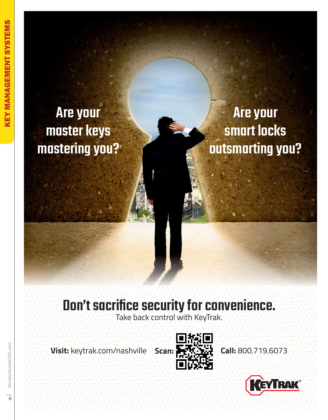# **Are your<br>master keys** mastering von mastering you?

**Are your<br>Smart locks** smarting vr outsmarting you?

Take back control with KeyTrak.

**Visit:** keytrak.com/nashville **Scan: Call:** 800.719.6073